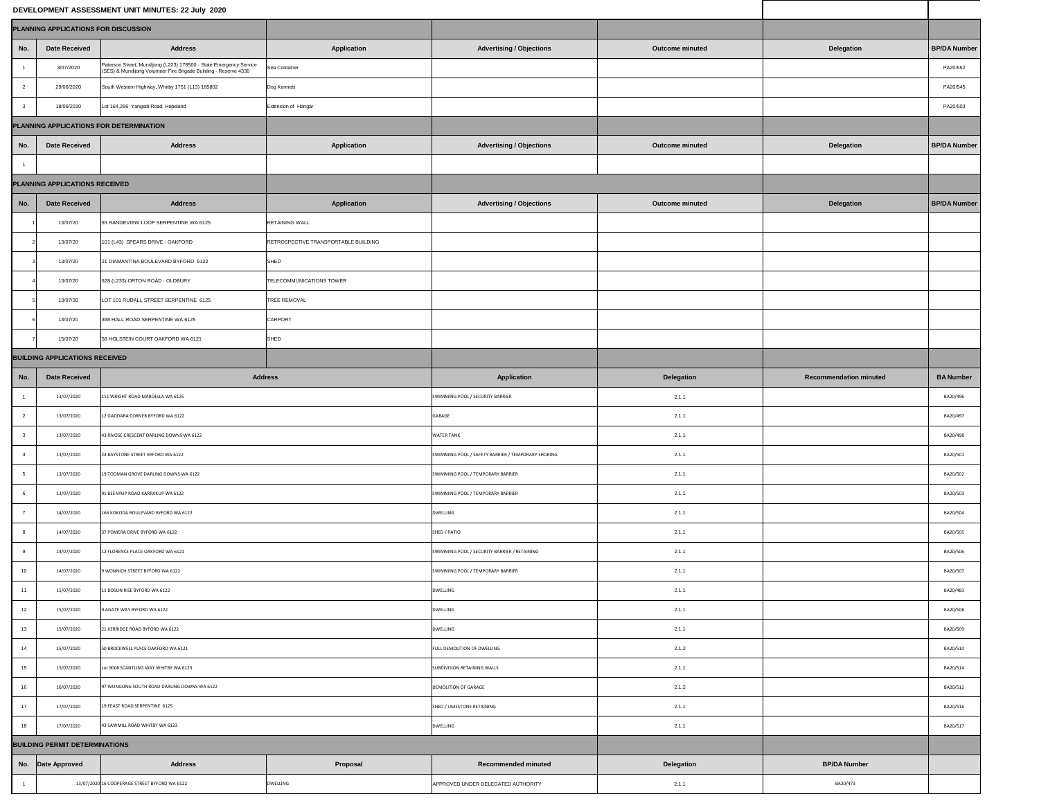|                                         |                                       | DEVELOPMENT ASSESSMENT UNIT MINUTES: 22 July 2020                                                                                      |                                      |                                                    |                        |                               |                     |  |  |  |  |  |
|-----------------------------------------|---------------------------------------|----------------------------------------------------------------------------------------------------------------------------------------|--------------------------------------|----------------------------------------------------|------------------------|-------------------------------|---------------------|--|--|--|--|--|
|                                         | PLANNING APPLICATIONS FOR DISCUSSION  |                                                                                                                                        |                                      |                                                    |                        |                               |                     |  |  |  |  |  |
| No.                                     | <b>Date Received</b>                  | <b>Address</b>                                                                                                                         | <b>Application</b>                   | <b>Advertising / Objections</b>                    | <b>Outcome minuted</b> | <b>Delegation</b>             | <b>BP/DA Number</b> |  |  |  |  |  |
|                                         | 3/07/2020                             | Paterson Street, Mundijong (L223) 178500 - State Emergency Service<br>(SES) & Mundijong Volunteer Fire Brigade Building - Reserve 4330 | Sea Container                        |                                                    |                        |                               | PA20/552            |  |  |  |  |  |
| $\overline{2}$                          | 29/06/2020                            | South Western Highway, Whitby 1751 (L13) 185802                                                                                        | Dog Kennels                          |                                                    |                        |                               | PA20/545            |  |  |  |  |  |
|                                         | 18/06/2020                            | Lot 164,286 Yangedi Road, Hopeland                                                                                                     | <b>Extension of Hangar</b>           |                                                    |                        |                               | PA20/503            |  |  |  |  |  |
| PLANNING APPLICATIONS FOR DETERMINATION |                                       |                                                                                                                                        |                                      |                                                    |                        |                               |                     |  |  |  |  |  |
| No.                                     | <b>Date Received</b>                  | <b>Address</b>                                                                                                                         | <b>Application</b>                   | <b>Advertising / Objections</b>                    | <b>Outcome minuted</b> | <b>Delegation</b>             | <b>BP/DA Number</b> |  |  |  |  |  |
|                                         |                                       |                                                                                                                                        |                                      |                                                    |                        |                               |                     |  |  |  |  |  |
|                                         | <b>PLANNING APPLICATIONS RECEIVED</b> |                                                                                                                                        |                                      |                                                    |                        |                               |                     |  |  |  |  |  |
| No.                                     | <b>Date Received</b>                  | <b>Address</b>                                                                                                                         | <b>Application</b>                   | <b>Advertising / Objections</b>                    | <b>Outcome minuted</b> | <b>Delegation</b>             | <b>BP/DA Number</b> |  |  |  |  |  |
|                                         | 13/07/20                              | 93 RANGEVIEW LOOP SERPENTINE WA 6125                                                                                                   | <b>RETAINING WALL</b>                |                                                    |                        |                               |                     |  |  |  |  |  |
|                                         | 13/07/20                              | 101 (L43) SPEARS DRIVE - OAKFORD                                                                                                       | RETROSPECTIVE TRANSPORTABLE BUILDING |                                                    |                        |                               |                     |  |  |  |  |  |
|                                         | 13/07/20                              | 21 DIAMANTINA BOULEVARD BYFORD 6122                                                                                                    | SHED                                 |                                                    |                        |                               |                     |  |  |  |  |  |
|                                         | 13/07/20                              | 928 (L233) ORTON ROAD - OLDBURY                                                                                                        | TELECOMMUNICATIONS TOWER             |                                                    |                        |                               |                     |  |  |  |  |  |
|                                         | 13/07/20                              | LOT 101 RUDALL STREET SERPENTINE 6125                                                                                                  | <b>TREE REMOVAL</b>                  |                                                    |                        |                               |                     |  |  |  |  |  |
|                                         | 13/07/20                              | 398 HALL ROAD SERPENTINE WA 6125                                                                                                       | CARPORT                              |                                                    |                        |                               |                     |  |  |  |  |  |
|                                         | 15/07/20                              | 58 HOLSTEIN COURT OAKFORD WA 6121                                                                                                      | SHED                                 |                                                    |                        |                               |                     |  |  |  |  |  |
| <b>BUILDING APPLICATIONS RECEIVED</b>   |                                       |                                                                                                                                        |                                      |                                                    |                        |                               |                     |  |  |  |  |  |
| No.                                     | <b>Date Received</b>                  |                                                                                                                                        | <b>Address</b>                       | Application                                        | <b>Delegation</b>      | <b>Recommendation minuted</b> | <b>BA Number</b>    |  |  |  |  |  |
|                                         | 13/07/2020                            | 111 WRIGHT ROAD MARDELLA WA 6125                                                                                                       |                                      | SWIMMING POOL / SECURITY BARRIER                   | 2.1.1                  |                               | BA20/496            |  |  |  |  |  |
|                                         | 13/07/2020                            | 12 GADDARA CORNER BYFORD WA 6122                                                                                                       |                                      | <b>GARAGE</b>                                      | 2.1.1                  |                               | BA20/497            |  |  |  |  |  |
|                                         | 13/07/2020                            | 43 RIVOSE CRESCENT DARLING DOWNS WA 6122                                                                                               |                                      | <b>WATER TANK</b>                                  | 2.1.1                  |                               | BA20/498            |  |  |  |  |  |
|                                         | 13/07/2020                            | 24 BAYSTONE STREET BYFORD WA 6122                                                                                                      |                                      | SWIMMING POOL / SAFETY BARRIER / TEMPORARY SHORING | 2.1.1                  |                               | BA20/501            |  |  |  |  |  |
|                                         | 13/07/2020                            | 19 TODMAN GROVE DARLING DOWNS WA 6122                                                                                                  |                                      | SWIMMING POOL / TEMPORARY BARRIER                  | 2.1.1                  |                               | BA20/502            |  |  |  |  |  |
|                                         | 13/07/2020                            | 91 BEENYUP ROAD KARRAKUP WA 6122                                                                                                       |                                      | SWIMMING POOL / TEMPORARY BARRIER                  | 2.1.1                  |                               | BA20/503            |  |  |  |  |  |
|                                         | 14/07/2020                            | 166 KOKODA BOULEVARD BYFORD WA 6122                                                                                                    |                                      | <b>DWELLING</b>                                    | 2.1.1                  |                               | BA20/504            |  |  |  |  |  |
| - 8                                     | 14/07/2020                            | 37 POMERA DRIVE BYFORD WA 6122                                                                                                         |                                      | SHED / PATIO                                       | 2.1.1                  |                               | BA20/505            |  |  |  |  |  |
| 9                                       | 14/07/2020                            | 12 FLORENCE PLACE OAKFORD WA 6121                                                                                                      |                                      | SWIMMING POOL / SECURITY BARRIER / RETAINING       | 2.1.1                  |                               | BA20/506            |  |  |  |  |  |
| 10                                      | 14/07/2020                            | 9 WONNICH STREET BYFORD WA 6122                                                                                                        |                                      | SWIMMING POOL / TEMPORARY BARRIER                  | 2.1.1                  |                               | BA20/507            |  |  |  |  |  |
| 11                                      | 15/07/2020                            | 11 BOSUN RISE BYFORD WA 6122                                                                                                           |                                      | <b>DWELLING</b>                                    | 2.1.1                  |                               | BA20/483            |  |  |  |  |  |
| 12                                      | 15/07/2020                            | 9 AGATE WAY BYFORD WA 6122                                                                                                             |                                      | <b>DWELLING</b>                                    | 2.1.1                  |                               | BA20/508            |  |  |  |  |  |
| 13                                      | 15/07/2020                            | 21 KERRIDGE ROAD BYFORD WA 6122                                                                                                        |                                      | <b>DWELLING</b>                                    | 2.1.1                  |                               | BA20/509            |  |  |  |  |  |
| 14                                      | 15/07/2020                            | 50 BROCKWELL PLACE OAKFORD WA 6121                                                                                                     |                                      | FULL DEMOLITION OF DWELLING                        | 2.1.2                  |                               | BA20/510            |  |  |  |  |  |
| 15                                      | 15/07/2020                            | Lot 9008 SCANTLING WAY WHITBY WA 6123                                                                                                  |                                      | SUBDIVISION RETAINING WALLS                        | 2.1.1                  |                               | BA20/514            |  |  |  |  |  |
| 16                                      | 16/07/2020                            | 97 WUNGONG SOUTH ROAD DARLING DOWNS WA 6122                                                                                            |                                      | <b>DEMOLITION OF GARAGE</b>                        | 2.1.2                  |                               | BA20/512            |  |  |  |  |  |
| 17                                      | 17/07/2020                            | 19 FEAST ROAD SERPENTINE 6125                                                                                                          |                                      | SHED / LIMESTONE RETAINING                         | 2.1.1                  |                               | BA20/516            |  |  |  |  |  |
| 18                                      | 17/07/2020                            | 43 SAWMILL ROAD WHITBY WA 6123                                                                                                         |                                      | <b>DWELLING</b>                                    | 2.1.1                  |                               | BA20/517            |  |  |  |  |  |
| <b>BUILDING PERMIT DETERMINATIONS</b>   |                                       |                                                                                                                                        |                                      |                                                    |                        |                               |                     |  |  |  |  |  |
|                                         | No. Date Approved                     | <b>Address</b>                                                                                                                         | <b>Proposal</b>                      | <b>Recommended minuted</b>                         | <b>Delegation</b>      | <b>BP/DA Number</b>           |                     |  |  |  |  |  |
|                                         |                                       | 13/07/2020 16 COOPERAGE STREET BYFORD WA 6122                                                                                          | <b>DWELLING</b>                      | APPROVED UNDER DELEGATED AUTHORITY                 | 2.1.1                  | BA20/473                      |                     |  |  |  |  |  |
|                                         |                                       |                                                                                                                                        |                                      |                                                    |                        |                               |                     |  |  |  |  |  |